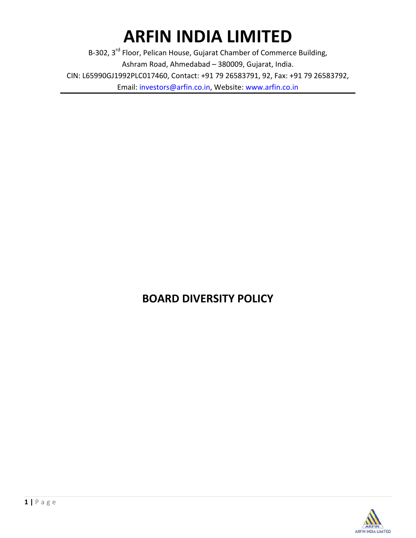# **ARFIN INDIA LIMITED**

B-302, 3<sup>rd</sup> Floor, Pelican House, Gujarat Chamber of Commerce Building, Ashram Road, Ahmedabad – 380009, Gujarat, India. CIN: L65990GJ1992PLC017460, Contact: +91 79 26583791, 92, Fax: +91 79 26583792, Email: investors@arfin.co.in, Website: www.arfin.co.in

## **BOARD DIVERSITY POLICY**

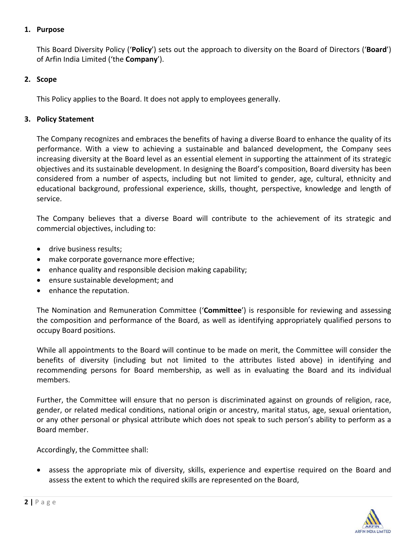### **1. Purpose**

This Board Diversity Policy ('**Policy**') sets out the approach to diversity on the Board of Directors ('**Board**') of Arfin India Limited ('the **Company**').

#### **2. Scope**

This Policy applies to the Board. It does not apply to employees generally.

#### **3. Policy Statement**

The Company recognizes and embraces the benefits of having a diverse Board to enhance the quality of its performance. With a view to achieving a sustainable and balanced development, the Company sees increasing diversity at the Board level as an essential element in supporting the attainment of its strategic objectives and its sustainable development. In designing the Board's composition, Board diversity has been considered from a number of aspects, including but not limited to gender, age, cultural, ethnicity and educational background, professional experience, skills, thought, perspective, knowledge and length of service.

The Company believes that a diverse Board will contribute to the achievement of its strategic and commercial objectives, including to:

- drive business results;
- make corporate governance more effective;
- enhance quality and responsible decision making capability;
- ensure sustainable development; and
- enhance the reputation.

The Nomination and Remuneration Committee ('**Committee**') is responsible for reviewing and assessing the composition and performance of the Board, as well as identifying appropriately qualified persons to occupy Board positions.

While all appointments to the Board will continue to be made on merit, the Committee will consider the benefits of diversity (including but not limited to the attributes listed above) in identifying and recommending persons for Board membership, as well as in evaluating the Board and its individual members.

Further, the Committee will ensure that no person is discriminated against on grounds of religion, race, gender, or related medical conditions, national origin or ancestry, marital status, age, sexual orientation, or any other personal or physical attribute which does not speak to such person's ability to perform as a Board member.

Accordingly, the Committee shall:

 assess the appropriate mix of diversity, skills, experience and expertise required on the Board and assess the extent to which the required skills are represented on the Board,